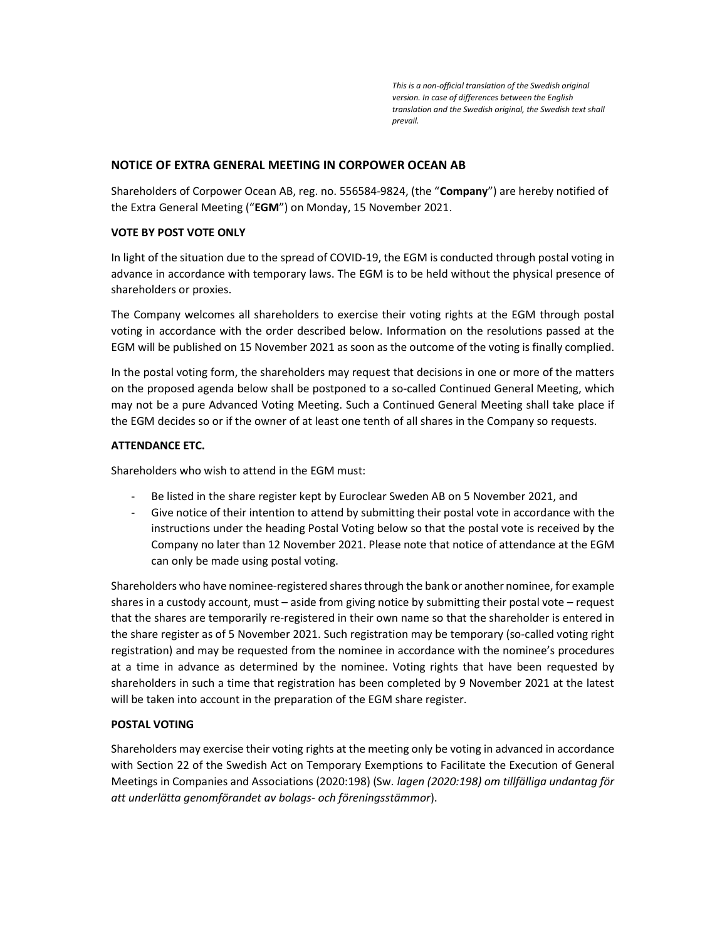This is a non-official translation of the Swedish original version. In case of differences between the English translation and the Swedish original, the Swedish text shall prevail.

# NOTICE OF EXTRA GENERAL MEETING IN CORPOWER OCEAN AB

Shareholders of Corpower Ocean AB, reg. no. 556584-9824, (the "Company") are hereby notified of the Extra General Meeting ("EGM") on Monday, 15 November 2021.

# VOTE BY POST VOTE ONLY

In light of the situation due to the spread of COVID-19, the EGM is conducted through postal voting in advance in accordance with temporary laws. The EGM is to be held without the physical presence of shareholders or proxies.

The Company welcomes all shareholders to exercise their voting rights at the EGM through postal voting in accordance with the order described below. Information on the resolutions passed at the EGM will be published on 15 November 2021 as soon as the outcome of the voting is finally complied.

In the postal voting form, the shareholders may request that decisions in one or more of the matters on the proposed agenda below shall be postponed to a so-called Continued General Meeting, which may not be a pure Advanced Voting Meeting. Such a Continued General Meeting shall take place if the EGM decides so or if the owner of at least one tenth of all shares in the Company so requests.

# ATTENDANCE ETC.

Shareholders who wish to attend in the EGM must:

- Be listed in the share register kept by Euroclear Sweden AB on 5 November 2021, and
- Give notice of their intention to attend by submitting their postal vote in accordance with the instructions under the heading Postal Voting below so that the postal vote is received by the Company no later than 12 November 2021. Please note that notice of attendance at the EGM can only be made using postal voting.

Shareholders who have nominee-registered shares through the bank or another nominee, for example shares in a custody account, must – aside from giving notice by submitting their postal vote – request that the shares are temporarily re-registered in their own name so that the shareholder is entered in the share register as of 5 November 2021. Such registration may be temporary (so-called voting right registration) and may be requested from the nominee in accordance with the nominee's procedures at a time in advance as determined by the nominee. Voting rights that have been requested by shareholders in such a time that registration has been completed by 9 November 2021 at the latest will be taken into account in the preparation of the EGM share register.

# POSTAL VOTING

Shareholders may exercise their voting rights at the meeting only be voting in advanced in accordance with Section 22 of the Swedish Act on Temporary Exemptions to Facilitate the Execution of General Meetings in Companies and Associations (2020:198) (Sw. lagen (2020:198) om tillfälliga undantag för att underlätta genomförandet av bolags- och föreningsstämmor).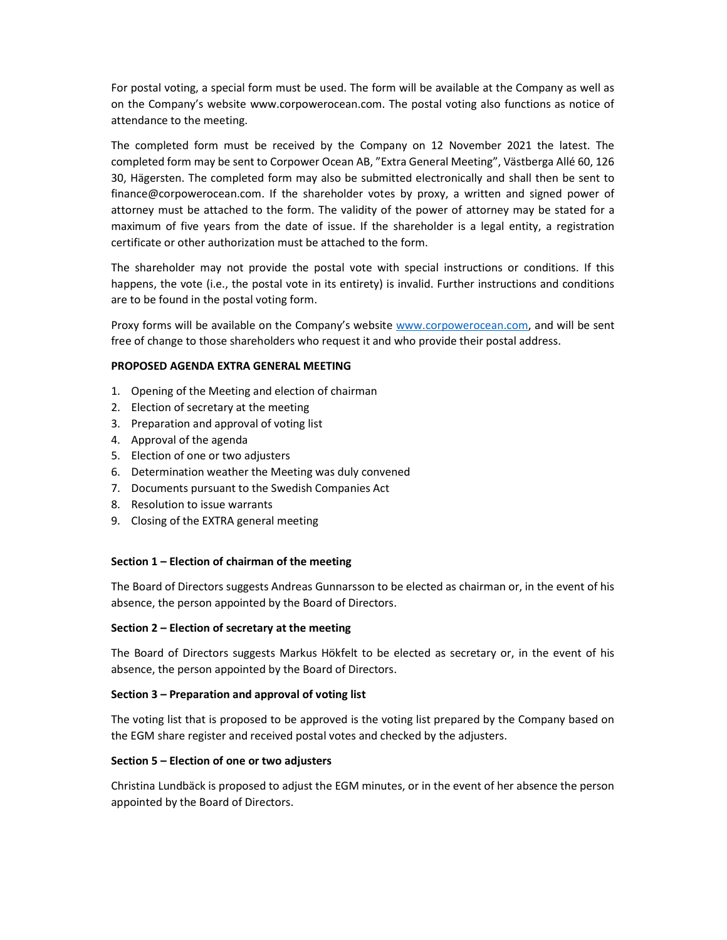For postal voting, a special form must be used. The form will be available at the Company as well as on the Company's website www.corpowerocean.com. The postal voting also functions as notice of attendance to the meeting.

The completed form must be received by the Company on 12 November 2021 the latest. The completed form may be sent to Corpower Ocean AB, "Extra General Meeting", Västberga Allé 60, 126 30, Hägersten. The completed form may also be submitted electronically and shall then be sent to finance@corpowerocean.com. If the shareholder votes by proxy, a written and signed power of attorney must be attached to the form. The validity of the power of attorney may be stated for a maximum of five years from the date of issue. If the shareholder is a legal entity, a registration certificate or other authorization must be attached to the form.

The shareholder may not provide the postal vote with special instructions or conditions. If this happens, the vote (i.e., the postal vote in its entirety) is invalid. Further instructions and conditions are to be found in the postal voting form.

Proxy forms will be available on the Company's website www.corpowerocean.com, and will be sent free of change to those shareholders who request it and who provide their postal address.

#### PROPOSED AGENDA EXTRA GENERAL MEETING

- 1. Opening of the Meeting and election of chairman
- 2. Election of secretary at the meeting
- 3. Preparation and approval of voting list
- 4. Approval of the agenda
- 5. Election of one or two adjusters
- 6. Determination weather the Meeting was duly convened
- 7. Documents pursuant to the Swedish Companies Act
- 8. Resolution to issue warrants
- 9. Closing of the EXTRA general meeting

## Section 1 – Election of chairman of the meeting

The Board of Directors suggests Andreas Gunnarsson to be elected as chairman or, in the event of his absence, the person appointed by the Board of Directors.

## Section 2 – Election of secretary at the meeting

The Board of Directors suggests Markus Hökfelt to be elected as secretary or, in the event of his absence, the person appointed by the Board of Directors.

## Section 3 – Preparation and approval of voting list

The voting list that is proposed to be approved is the voting list prepared by the Company based on the EGM share register and received postal votes and checked by the adjusters.

## Section 5 – Election of one or two adjusters

Christina Lundbäck is proposed to adjust the EGM minutes, or in the event of her absence the person appointed by the Board of Directors.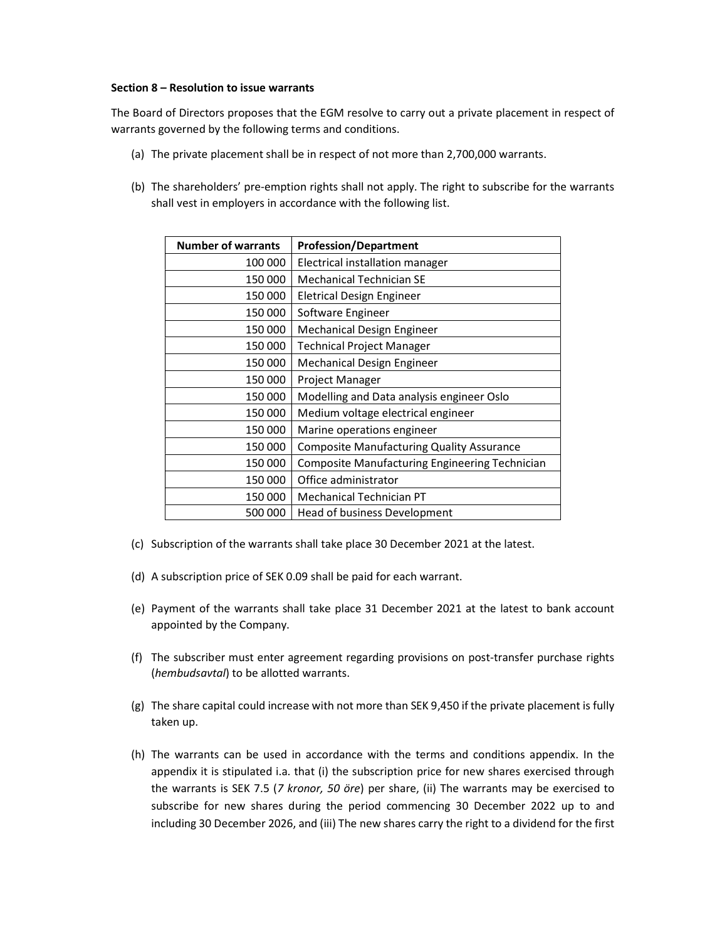#### Section 8 – Resolution to issue warrants

The Board of Directors proposes that the EGM resolve to carry out a private placement in respect of warrants governed by the following terms and conditions.

- (a) The private placement shall be in respect of not more than 2,700,000 warrants.
- (b) The shareholders' pre-emption rights shall not apply. The right to subscribe for the warrants shall vest in employers in accordance with the following list.

| <b>Number of warrants</b> | <b>Profession/Department</b>                          |
|---------------------------|-------------------------------------------------------|
| 100 000                   | Electrical installation manager                       |
| 150 000                   | <b>Mechanical Technician SE</b>                       |
| 150 000                   | Eletrical Design Engineer                             |
| 150 000                   | Software Engineer                                     |
| 150 000                   | Mechanical Design Engineer                            |
| 150 000                   | <b>Technical Project Manager</b>                      |
| 150 000                   | Mechanical Design Engineer                            |
| 150 000                   | Project Manager                                       |
| 150 000                   | Modelling and Data analysis engineer Oslo             |
| 150 000                   | Medium voltage electrical engineer                    |
| 150 000                   | Marine operations engineer                            |
| 150 000                   | <b>Composite Manufacturing Quality Assurance</b>      |
| 150 000                   | <b>Composite Manufacturing Engineering Technician</b> |
| 150 000                   | Office administrator                                  |
| 150 000                   | <b>Mechanical Technician PT</b>                       |
| 500 000                   | Head of business Development                          |
|                           |                                                       |

- (c) Subscription of the warrants shall take place 30 December 2021 at the latest.
- (d) A subscription price of SEK 0.09 shall be paid for each warrant.
- (e) Payment of the warrants shall take place 31 December 2021 at the latest to bank account appointed by the Company.
- (f) The subscriber must enter agreement regarding provisions on post-transfer purchase rights (hembudsavtal) to be allotted warrants.
- (g) The share capital could increase with not more than SEK 9,450 if the private placement is fully taken up.
- (h) The warrants can be used in accordance with the terms and conditions appendix. In the appendix it is stipulated i.a. that (i) the subscription price for new shares exercised through the warrants is SEK 7.5 (7 kronor, 50 öre) per share, (ii) The warrants may be exercised to subscribe for new shares during the period commencing 30 December 2022 up to and including 30 December 2026, and (iii) The new shares carry the right to a dividend for the first